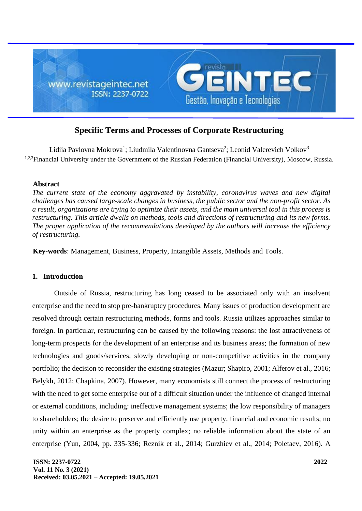

# **Specific Terms and Processes of Corporate Restructuring**

Lidiia Pavlovna Mokrova<sup>1</sup>; Liudmila Valentinovna Gantseva<sup>2</sup>; Leonid Valerevich Volkov<sup>3</sup> <sup>1,2,3</sup>Financial University under the Government of the Russian Federation (Financial University), Moscow, Russia.

### **Abstract**

*The current state of the economy aggravated by instability, coronavirus waves and new digital challenges has caused large-scale changes in business, the public sector and the non-profit sector. As a result, organizations are trying to optimize their assets, and the main universal tool in this process is restructuring. This article dwells on methods, tools and directions of restructuring and its new forms. The proper application of the recommendations developed by the authors will increase the efficiency of restructuring.*

**Key-words**: Management, Business, Property, Intangible Assets, Methods and Tools.

### **1. Introduction**

Outside of Russia, restructuring has long ceased to be associated only with an insolvent enterprise and the need to stop pre-bankruptcy procedures. Many issues of production development are resolved through certain restructuring methods, forms and tools. Russia utilizes approaches similar to foreign. In particular, restructuring can be caused by the following reasons: the lost attractiveness of long-term prospects for the development of an enterprise and its business areas; the formation of new technologies and goods/services; slowly developing or non-competitive activities in the company portfolio; the decision to reconsider the existing strategies (Mazur; Shapiro, 2001; Alferov et al., 2016; Belykh, 2012; Chapkina, 2007). However, many economists still connect the process of restructuring with the need to get some enterprise out of a difficult situation under the influence of changed internal or external conditions, including: ineffective management systems; the low responsibility of managers to shareholders; the desire to preserve and efficiently use property, financial and economic results; no unity within an enterprise as the property complex; no reliable information about the state of an enterprise (Yun, 2004, pp. 335-336; Reznik et al., 2014; Gurzhiev et al., 2014; Poletaev, 2016). A

**ISSN: 2237-0722 Vol. 11 No. 3 (2021) Received: 03.05.2021 – Accepted: 19.05.2021**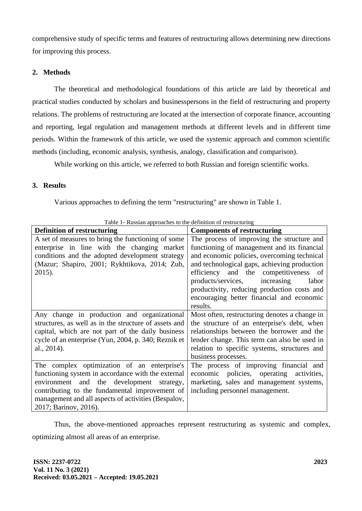comprehensive study of specific terms and features of restructuring allows determining new directions for improving this process.

## **2. Methods**

The theoretical and methodological foundations of this article are laid by theoretical and practical studies conducted by scholars and businesspersons in the field of restructuring and property relations. The problems of restructuring are located at the intersection of corporate finance, accounting and reporting, legal regulation and management methods at different levels and in different time periods. Within the framework of this article, we used the systemic approach and common scientific methods (including, economic analysis, synthesis, analogy, classification and comparison).

While working on this article, we referred to both Russian and foreign scientific works.

# **3. Results**

Various approaches to defining the term "restructuring" are shown in Table 1.

| Table 1- Russian approaches to the definition of restructuring |                                               |
|----------------------------------------------------------------|-----------------------------------------------|
| <b>Definition of restructuring</b>                             | <b>Components of restructuring</b>            |
| A set of measures to bring the functioning of some             | The process of improving the structure and    |
| enterprise in line with the changing market                    | functioning of management and its financial   |
| conditions and the adopted development strategy                | and economic policies, overcoming technical   |
| (Mazur; Shapiro, 2001; Rykhtikova, 2014; Zub,                  | and technological gaps, achieving production  |
| 2015).                                                         | efficiency and the competitiveness of         |
|                                                                | products/services,<br>increasing<br>labor     |
|                                                                | productivity, reducing production costs and   |
|                                                                | encouraging better financial and economic     |
|                                                                | results.                                      |
| Any change in production and organizational                    | Most often, restructuring denotes a change in |
| structures, as well as in the structure of assets and          | the structure of an enterprise's debt, when   |
| capital, which are not part of the daily business              | relationships between the borrower and the    |
| cycle of an enterprise (Yun, 2004, p. 340; Reznik et           | lender change. This term can also be used in  |
| al., 2014).                                                    | relation to specific systems, structures and  |
|                                                                | business processes.                           |
| The complex optimization of an enterprise's                    | The process of improving financial and        |
| functioning system in accordance with the external             | economic policies, operating<br>activities,   |
| environment and the development strategy,                      | marketing, sales and management systems,      |
| contributing to the fundamental improvement of                 | including personnel management.               |
| management and all aspects of activities (Bespalov,            |                                               |
| 2017; Barinov, 2016).                                          |                                               |

Table 1- Russian approaches to the definition of restructuring

Thus, the above-mentioned approaches represent restructuring as systemic and complex, optimizing almost all areas of an enterprise.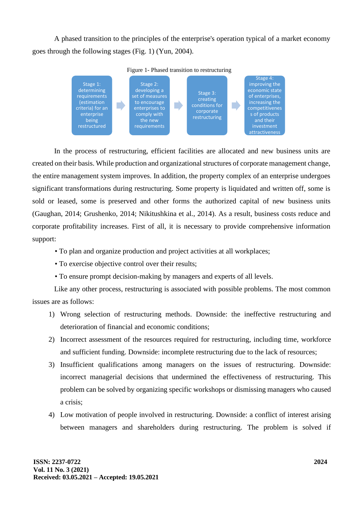A phased transition to the principles of the enterprise's operation typical of a market economy goes through the following stages (Fig. 1) (Yun, 2004).



Figure 1- Phased transition to restructuring

In the process of restructuring, efficient facilities are allocated and new business units are created on their basis. While production and organizational structures of corporate management change, the entire management system improves. In addition, the property complex of an enterprise undergoes significant transformations during restructuring. Some property is liquidated and written off, some is sold or leased, some is preserved and other forms the authorized capital of new business units (Gaughan, 2014; Grushenko, 2014; Nikitushkina et al., 2014). As a result, business costs reduce and corporate profitability increases. First of all, it is necessary to provide comprehensive information support:

- To plan and organize production and project activities at all workplaces;
- To exercise objective control over their results;
- To ensure prompt decision-making by managers and experts of all levels.

Like any other process, restructuring is associated with possible problems. The most common issues are as follows:

- 1) Wrong selection of restructuring methods. Downside: the ineffective restructuring and deterioration of financial and economic conditions;
- 2) Incorrect assessment of the resources required for restructuring, including time, workforce and sufficient funding. Downside: incomplete restructuring due to the lack of resources;
- 3) Insufficient qualifications among managers on the issues of restructuring. Downside: incorrect managerial decisions that undermined the effectiveness of restructuring. This problem can be solved by organizing specific workshops or dismissing managers who caused a crisis;
- 4) Low motivation of people involved in restructuring. Downside: a conflict of interest arising between managers and shareholders during restructuring. The problem is solved if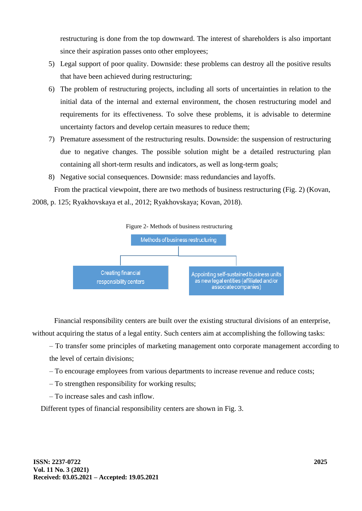restructuring is done from the top downward. The interest of shareholders is also important since their aspiration passes onto other employees;

- 5) Legal support of poor quality. Downside: these problems can destroy all the positive results that have been achieved during restructuring;
- 6) The problem of restructuring projects, including all sorts of uncertainties in relation to the initial data of the internal and external environment, the chosen restructuring model and requirements for its effectiveness. To solve these problems, it is advisable to determine uncertainty factors and develop certain measures to reduce them;
- 7) Premature assessment of the restructuring results. Downside: the suspension of restructuring due to negative changes. The possible solution might be a detailed restructuring plan containing all short-term results and indicators, as well as long-term goals;
- 8) Negative social consequences. Downside: mass redundancies and layoffs.

From the practical viewpoint, there are two methods of business restructuring (Fig. 2) (Kovan, 2008, p. 125; Ryakhovskaya et al., 2012; Ryakhovskaya; Kovan, 2018).



Financial responsibility centers are built over the existing structural divisions of an enterprise, without acquiring the status of a legal entity. Such centers aim at accomplishing the following tasks:

– To transfer some principles of marketing management onto corporate management according to the level of certain divisions;

– To encourage employees from various departments to increase revenue and reduce costs;

- To strengthen responsibility for working results;
- To increase sales and cash inflow.

Different types of financial responsibility centers are shown in Fig. 3.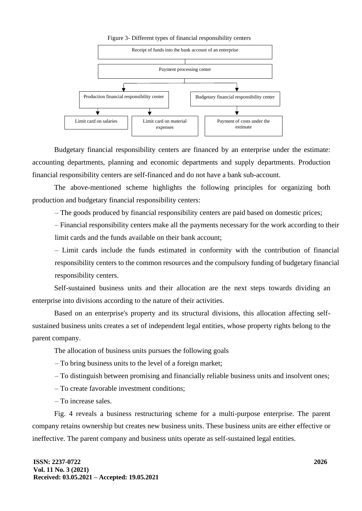

Budgetary financial responsibility centers are financed by an enterprise under the estimate: accounting departments, planning and economic departments and supply departments. Production financial responsibility centers are self-financed and do not have a bank sub-account.

The above-mentioned scheme highlights the following principles for organizing both production and budgetary financial responsibility centers:

– The goods produced by financial responsibility centers are paid based on domestic prices;

– Financial responsibility centers make all the payments necessary for the work according to their limit cards and the funds available on their bank account;

– Limit cards include the funds estimated in conformity with the contribution of financial responsibility centers to the common resources and the compulsory funding of budgetary financial responsibility centers.

Self-sustained business units and their allocation are the next steps towards dividing an enterprise into divisions according to the nature of their activities.

Based on an enterprise's property and its structural divisions, this allocation affecting selfsustained business units creates a set of independent legal entities, whose property rights belong to the parent company.

The allocation of business units pursues the following goals

– To bring business units to the level of a foreign market;

– To distinguish between promising and financially reliable business units and insolvent ones;

– To create favorable investment conditions;

– To increase sales.

Fig. 4 reveals a business restructuring scheme for a multi-purpose enterprise. The parent company retains ownership but creates new business units. These business units are either effective or ineffective. The parent company and business units operate as self-sustained legal entities.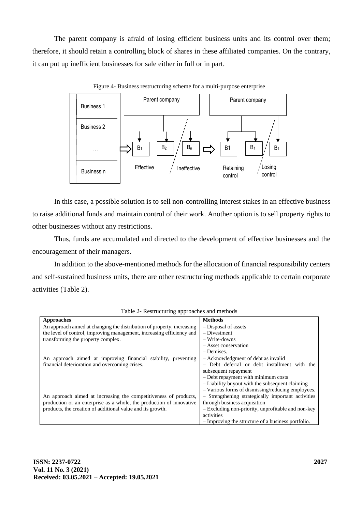The parent company is afraid of losing efficient business units and its control over them; therefore, it should retain a controlling block of shares in these affiliated companies. On the contrary, it can put up inefficient businesses for sale either in full or in part.



Figure 4- Business restructuring scheme for a multi-purpose enterprise

In this case, a possible solution is to sell non-controlling interest stakes in an effective business to raise additional funds and maintain control of their work. Another option is to sell property rights to other businesses without any restrictions.

Thus, funds are accumulated and directed to the development of effective businesses and the encouragement of their managers.

In addition to the above-mentioned methods for the allocation of financial responsibility centers and self-sustained business units, there are other restructuring methods applicable to certain corporate activities (Table 2).

| Approaches                                                             | <b>Methods</b>                                     |
|------------------------------------------------------------------------|----------------------------------------------------|
| An approach aimed at changing the distribution of property, increasing | - Disposal of assets                               |
| the level of control, improving management, increasing efficiency and  | $-$ Divestment                                     |
| transforming the property complex.                                     | $-$ Write-downs                                    |
|                                                                        | - Asset conservation                               |
|                                                                        | – Demises.                                         |
| An approach aimed at improving financial stability, preventing         | - Acknowledgment of debt as invalid                |
| financial deterioration and overcoming crises.                         | - Debt deferral or debt installment with the       |
|                                                                        | subsequent repayment                               |
|                                                                        | - Debt repayment with minimum costs                |
|                                                                        | - Liability buyout with the subsequent claiming    |
|                                                                        | - Various forms of dismissing/reducing employees.  |
| An approach aimed at increasing the competitiveness of products,       | - Strengthening strategically important activities |
| production or an enterprise as a whole, the production of innovative   | through business acquisition                       |
| products, the creation of additional value and its growth.             | - Excluding non-priority, unprofitable and non-key |
|                                                                        | activities                                         |
|                                                                        | - Improving the structure of a business portfolio. |

Table 2- Restructuring approaches and methods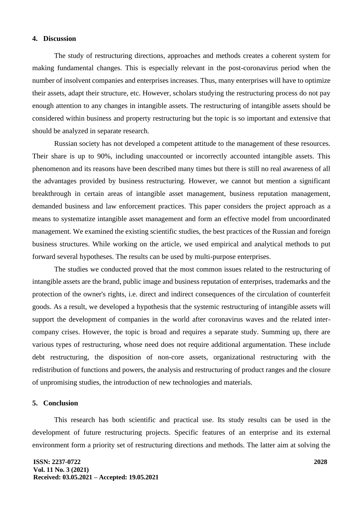### **4. Discussion**

The study of restructuring directions, approaches and methods creates a coherent system for making fundamental changes. This is especially relevant in the post-coronavirus period when the number of insolvent companies and enterprises increases. Thus, many enterprises will have to optimize their assets, adapt their structure, etc. However, scholars studying the restructuring process do not pay enough attention to any changes in intangible assets. The restructuring of intangible assets should be considered within business and property restructuring but the topic is so important and extensive that should be analyzed in separate research.

Russian society has not developed a competent attitude to the management of these resources. Their share is up to 90%, including unaccounted or incorrectly accounted intangible assets. This phenomenon and its reasons have been described many times but there is still no real awareness of all the advantages provided by business restructuring. However, we cannot but mention a significant breakthrough in certain areas of intangible asset management, business reputation management, demanded business and law enforcement practices. This paper considers the project approach as a means to systematize intangible asset management and form an effective model from uncoordinated management. We examined the existing scientific studies, the best practices of the Russian and foreign business structures. While working on the article, we used empirical and analytical methods to put forward several hypotheses. The results can be used by multi-purpose enterprises.

The studies we conducted proved that the most common issues related to the restructuring of intangible assets are the brand, public image and business reputation of enterprises, trademarks and the protection of the owner's rights, i.e. direct and indirect consequences of the circulation of counterfeit goods. As a result, we developed a hypothesis that the systemic restructuring of intangible assets will support the development of companies in the world after coronavirus waves and the related intercompany crises. However, the topic is broad and requires a separate study. Summing up, there are various types of restructuring, whose need does not require additional argumentation. These include debt restructuring, the disposition of non-core assets, organizational restructuring with the redistribution of functions and powers, the analysis and restructuring of product ranges and the closure of unpromising studies, the introduction of new technologies and materials.

#### **5. Conclusion**

This research has both scientific and practical use. Its study results can be used in the development of future restructuring projects. Specific features of an enterprise and its external environment form a priority set of restructuring directions and methods. The latter aim at solving the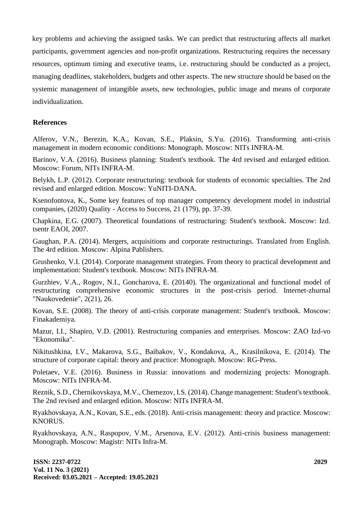key problems and achieving the assigned tasks. We can predict that restructuring affects all market participants, government agencies and non-profit organizations. Restructuring requires the necessary resources, optimum timing and executive teams, i.e. restructuring should be conducted as a project, managing deadlines, stakeholders, budgets and other aspects. The new structure should be based on the systemic management of intangible assets, new technologies, public image and means of corporate individualization.

### **References**

Alferov, V.N., Berezin, K.A., Kovan, S.E., Plaksin, S.Yu. (2016). Transforming anti-crisis management in modern economic conditions: Monograph. Moscow: NITs INFRA-M.

Barinov, V.A. (2016). Business planning: Student's textbook. The 4rd revised and enlarged edition. Moscow: Forum, NITs INFRA-M.

Belykh, L.P. (2012). Corporate restructuring: textbook for students of economic specialties. The 2nd revised and enlarged edition. Moscow: YuNITI-DANA.

Ksenofontova, K., Some key features of top manager competency development model in industrial companies, (2020) Quality - Access to Success, 21 (179), pp. 37-39.

Chapkina, E.G. (2007). Theoretical foundations of restructuring: Student's textbook. Moscow: Izd. tsentr EAOI, 2007.

Gaughan, P.A. (2014). Mergers, acquisitions and corporate restructurings. Translated from English. The 4rd edition. Moscow: Alpina Pablishers.

Grushenko, V.I. (2014). Corporate management strategies. From theory to practical development and implementation: Student's textbook. Moscow: NITs INFRA-M.

Gurzhiev, V.A., Rogov, N.I., Goncharova, E. (20140). The organizational and functional model of restructuring comprehensive economic structures in the post-crisis period. Internet-zhurnal "Naukovedenie", 2(21), 26.

Kovan, S.E. (2008). The theory of anti-crisis corporate management: Student's textbook. Moscow: Finakademiya.

Mazur, I.I., Shapiro, V.D. (2001). Restructuring companies and enterprises. Moscow: ZAO Izd-vo "Ekonomika".

Nikitushkina, I.V., Makarova, S.G., Baibakov, V., Kondakova, A., Krasilnikova, E. (2014). The structure of corporate capital: theory and practice: Monograph. Moscow: RG-Press.

Poletaev, V.E. (2016). Business in Russia: innovations and modernizing projects: Monograph. Moscow: NITs INFRA-M.

Reznik, S.D., Chernikovskaya, M.V., Chemezov, I.S. (2014). Change management: Student's textbook. The 2nd revised and enlarged edition. Moscow: NITs INFRA-M.

Ryakhovskaya, A.N., Kovan, S.E., eds. (2018). Anti-crisis management: theory and practice. Moscow: KNORUS.

Ryakhovskaya, A.N., Raspopov, V.M., Arsenova, E.V. (2012). Anti-crisis business management: Monograph. Moscow: Magistr: NITs Infra-M.